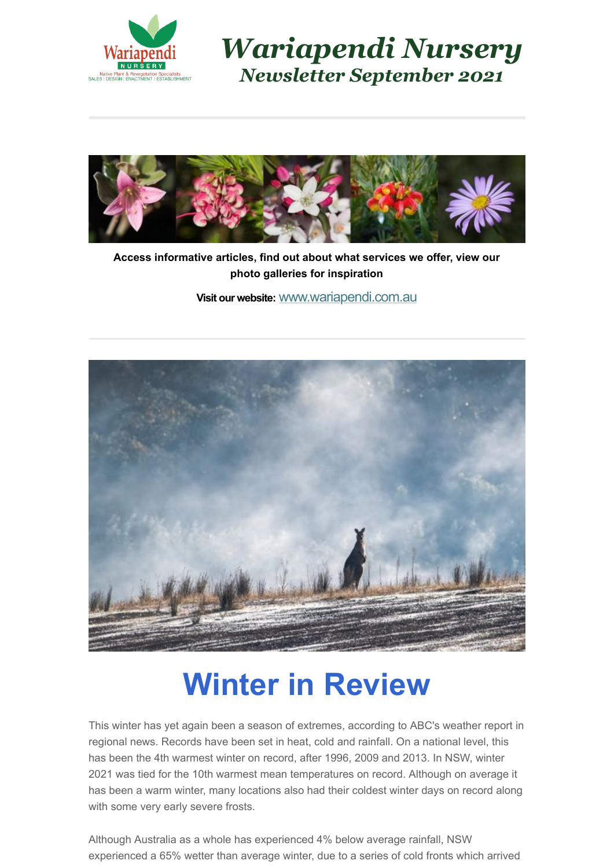

*Wariapendi Nursery Newsletter September 2021*



**Access informative articles, find out about what services we offer, view our photo galleries for inspiration**

**Visit our website:** [www.wariapendi.com.au](http://www.wariapendi.com.au/?tracking=5a2f21fb2200a)



### **Winter in Review**

This winter has yet again been a season of extremes, according to ABC's weather report in regional news. Records have been set in heat, cold and rainfall. On a national level, this has been the 4th warmest winter on record, after 1996, 2009 and 2013. In NSW, winter 2021 was tied for the 10th warmest mean temperatures on record. Although on average it has been a warm winter, many locations also had their coldest winter days on record along with some very early severe frosts.

Although Australia as a whole has experienced 4% below average rainfall, NSW experienced a 65% wetter than average winter, due to a series of cold fronts which arrived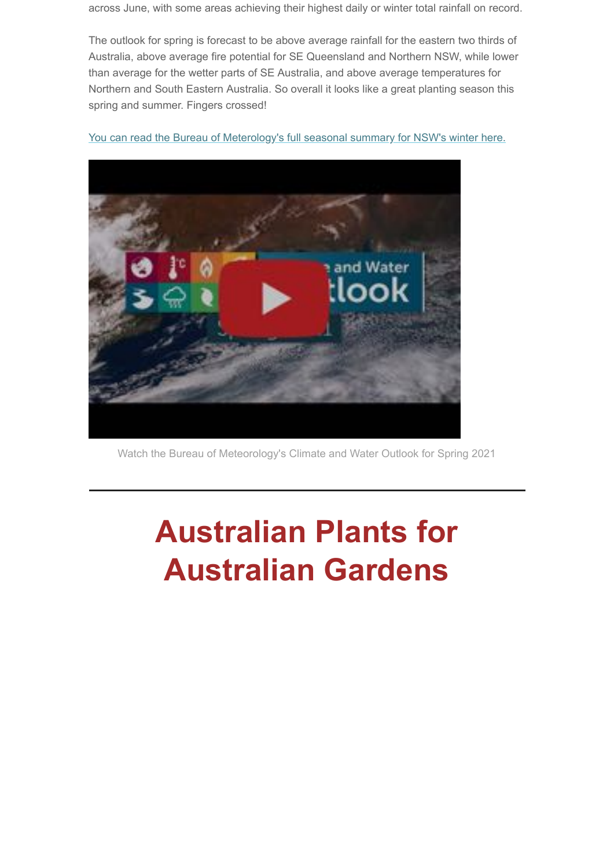across June, with some areas achieving their highest daily or winter total rainfall on record.

The outlook for spring is forecast to be above average rainfall for the eastern two thirds of Australia, above average fire potential for SE Queensland and Northern NSW, while lower than average for the wetter parts of SE Australia, and above average temperatures for Northern and South Eastern Australia. So overall it looks like a great planting season this spring and summer. Fingers crossed!

[You can read the Bureau of Meterology's full seasonal summary for NSW's winter here.](http://www.bom.gov.au/climate/current/season/nsw/summary.shtml)



Watch the Bureau of Meteorology's Climate and Water Outlook for Spring 2021

# **Australian Plants for Australian Gardens**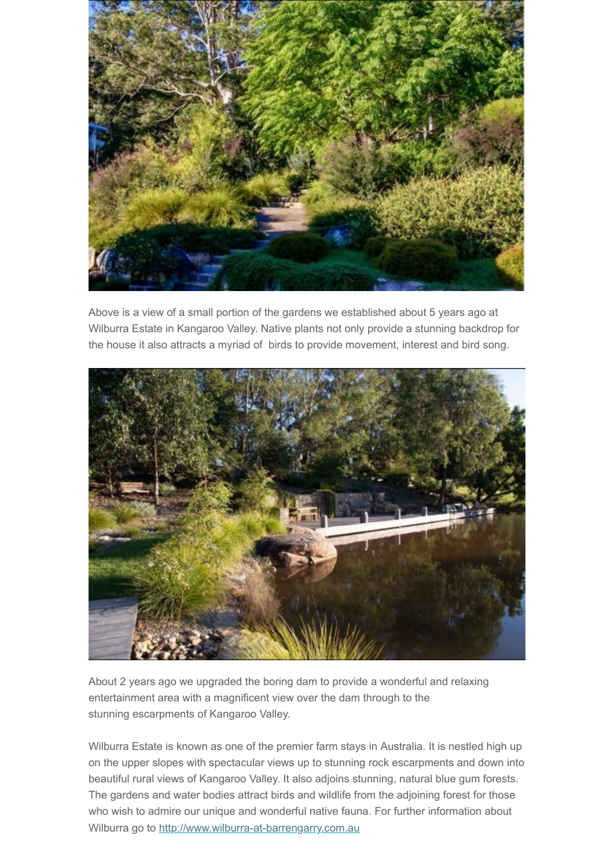

Above is a view of a small portion of the gardens we established about 5 years ago at Wilburra Estate in Kangaroo Valley. Native plants not only provide a stunning backdrop for the house it also attracts a myriad of birds to provide movement, interest and bird song.



About 2 years ago we upgraded the boring dam to provide a wonderful and relaxing entertainment area with a magnificent view over the dam through to the stunning escarpments of Kangaroo Valley.

Wilburra Estate is known as one of the premier farm stays in Australia. It is nestled high up on the upper slopes with spectacular views up to stunning rock escarpments and down into beautiful rural views of Kangaroo Valley. It also adjoins stunning, natural blue gum forests. The gardens and water bodies attract birds and wildlife from the adjoining forest for those who wish to admire our unique and wonderful native fauna. For further information about Wilburra go to [http://www.wilburra-at-barrengarry.com.au](http://www.wilburra-at-barrengarry.com.au/)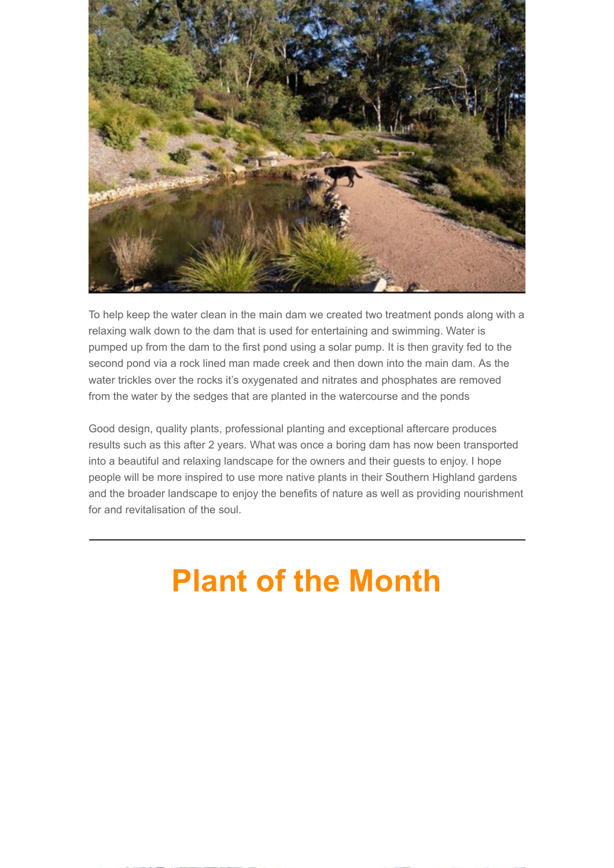

To help keep the water clean in the main dam we created two treatment ponds along with a relaxing walk down to the dam that is used for entertaining and swimming. Water is pumped up from the dam to the first pond using a solar pump. It is then gravity fed to the second pond via a rock lined man made creek and then down into the main dam. As the water trickles over the rocks it's oxygenated and nitrates and phosphates are removed from the water by the sedges that are planted in the watercourse and the ponds

Good design, quality plants, professional planting and exceptional aftercare produces results such as this after 2 years. What was once a boring dam has now been transported into a beautiful and relaxing landscape for the owners and their guests to enjoy. I hope people will be more inspired to use more native plants in their Southern Highland gardens and the broader landscape to enjoy the benefits of nature as well as providing nourishment for and revitalisation of the soul.

# **Plant of the Month**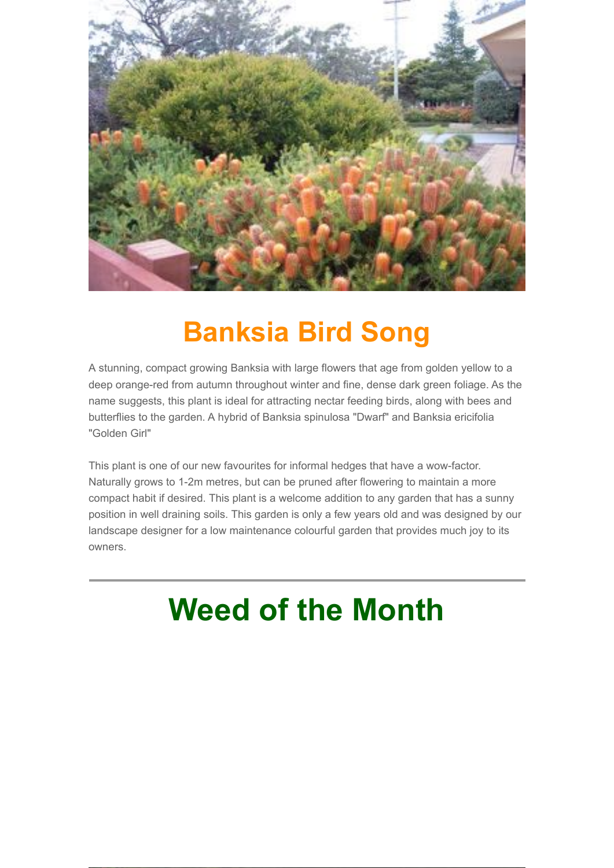

#### **Banksia Bird Song**

A stunning, compact growing Banksia with large flowers that age from golden yellow to a deep orange-red from autumn throughout winter and fine, dense dark green foliage. As the name suggests, this plant is ideal for attracting nectar feeding birds, along with bees and butterflies to the garden. A hybrid of Banksia spinulosa "Dwarf" and Banksia ericifolia "Golden Girl"

This plant is one of our new favourites for informal hedges that have a wow-factor. Naturally grows to 1-2m metres, but can be pruned after flowering to maintain a more compact habit if desired. This plant is a welcome addition to any garden that has a sunny position in well draining soils. This garden is only a few years old and was designed by our landscape designer for a low maintenance colourful garden that provides much joy to its owners.

## **Weed of the Month**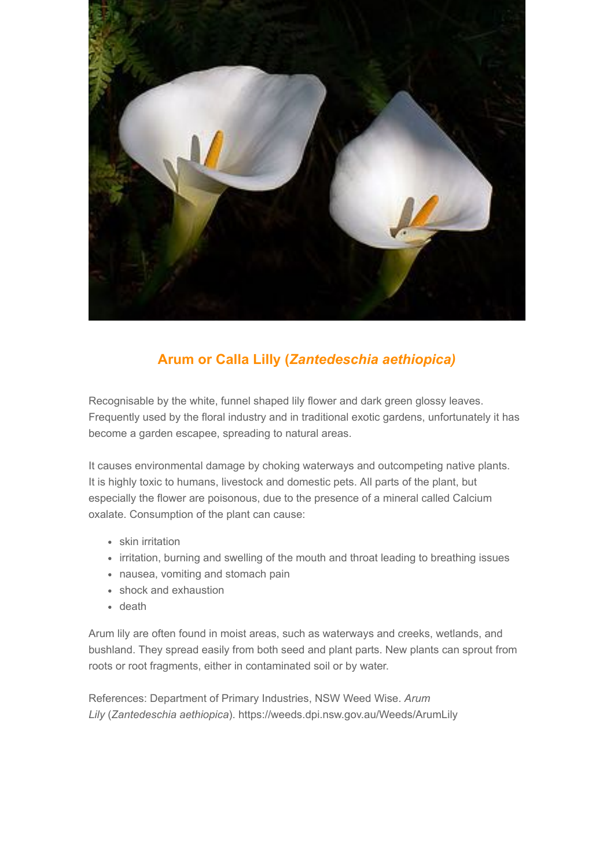

#### **Arum or Calla Lilly (***Zantedeschia aethiopica)*

Recognisable by the white, funnel shaped lily flower and dark green glossy leaves. Frequently used by the floral industry and in traditional exotic gardens, unfortunately it has become a garden escapee, spreading to natural areas.

It causes environmental damage by choking waterways and outcompeting native plants. It is highly toxic to humans, livestock and domestic pets. All parts of the plant, but especially the flower are poisonous, due to the presence of a mineral called Calcium oxalate. Consumption of the plant can cause:

- skin irritation
- irritation, burning and swelling of the mouth and throat leading to breathing issues
- nausea, vomiting and stomach pain
- shock and exhaustion
- death

Arum lily are often found in moist areas, such as waterways and creeks, wetlands, and bushland. They spread easily from both seed and plant parts. New plants can sprout from roots or root fragments, either in contaminated soil or by water.

References: Department of Primary Industries, NSW Weed Wise. *Arum Lily* (*Zantedeschia aethiopica*). https://weeds.dpi.nsw.gov.au/Weeds/ArumLily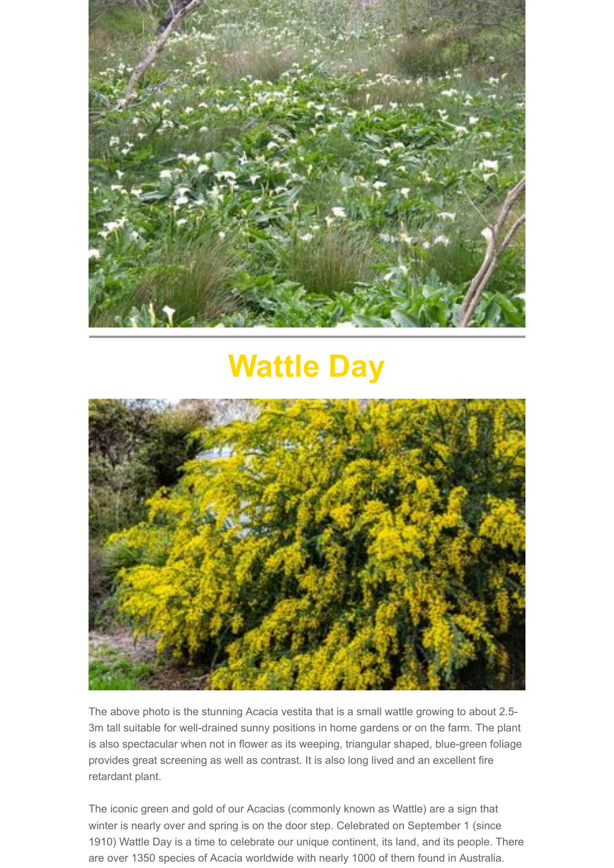

### **Wattle Day**



The above photo is the stunning Acacia vestita that is a small wattle growing to about 2.5- 3m tall suitable for well-drained sunny positions in home gardens or on the farm. The plant is also spectacular when not in flower as its weeping, triangular shaped, blue-green foliage provides great screening as well as contrast. It is also long lived and an excellent fire retardant plant.

The iconic green and gold of our Acacias (commonly known as Wattle) are a sign that winter is nearly over and spring is on the door step. Celebrated on September 1 (since 1910) Wattle Day is a time to celebrate our unique continent, its land, and its people. There are over 1350 species of Acacia worldwide with nearly 1000 of them found in Australia.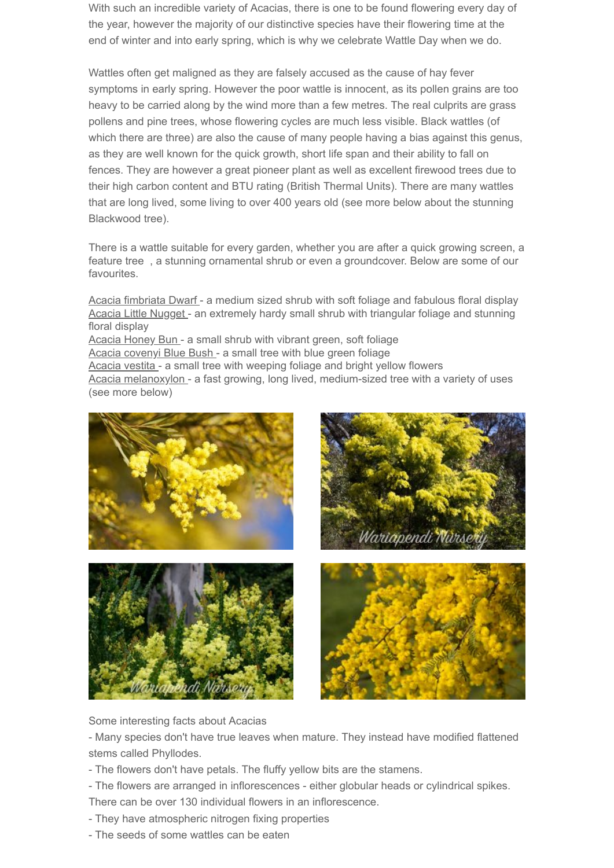With such an incredible variety of Acacias, there is one to be found flowering every day of the year, however the majority of our distinctive species have their flowering time at the end of winter and into early spring, which is why we celebrate Wattle Day when we do.

Wattles often get maligned as they are falsely accused as the cause of hay fever symptoms in early spring. However the poor wattle is innocent, as its pollen grains are too heavy to be carried along by the wind more than a few metres. The real culprits are grass pollens and pine trees, whose flowering cycles are much less visible. Black wattles (of which there are three) are also the cause of many people having a bias against this genus, as they are well known for the quick growth, short life span and their ability to fall on fences. They are however a great pioneer plant as well as excellent firewood trees due to their high carbon content and BTU rating (British Thermal Units). There are many wattles that are long lived, some living to over 400 years old (see more below about the stunning Blackwood tree).

There is a wattle suitable for every garden, whether you are after a quick growing screen, a feature tree , a stunning ornamental shrub or even a groundcover. Below are some of our favourites.

Acacia fimbriata Dwarf - a medium sized shrub with soft foliage and fabulous floral display Acacia Little Nugget - an extremely hardy small shrub with triangular foliage and stunning floral display Acacia Honey Bun - a small shrub with vibrant green, soft foliage Acacia covenyi Blue Bush - a small tree with blue green foliage Acacia vestita - a small tree with weeping foliage and bright yellow flowers Acacia melanoxylon - a fast growing, long lived, medium-sized tree with a variety of uses (see more below)









Some interesting facts about Acacias

- Many species don't have true leaves when mature. They instead have modified flattened stems called Phyllodes.

- The flowers don't have petals. The fluffy yellow bits are the stamens.
- The flowers are arranged in inflorescences either globular heads or cylindrical spikes.
- There can be over 130 individual flowers in an inflorescence.
- They have atmospheric nitrogen fixing properties
- The seeds of some wattles can be eaten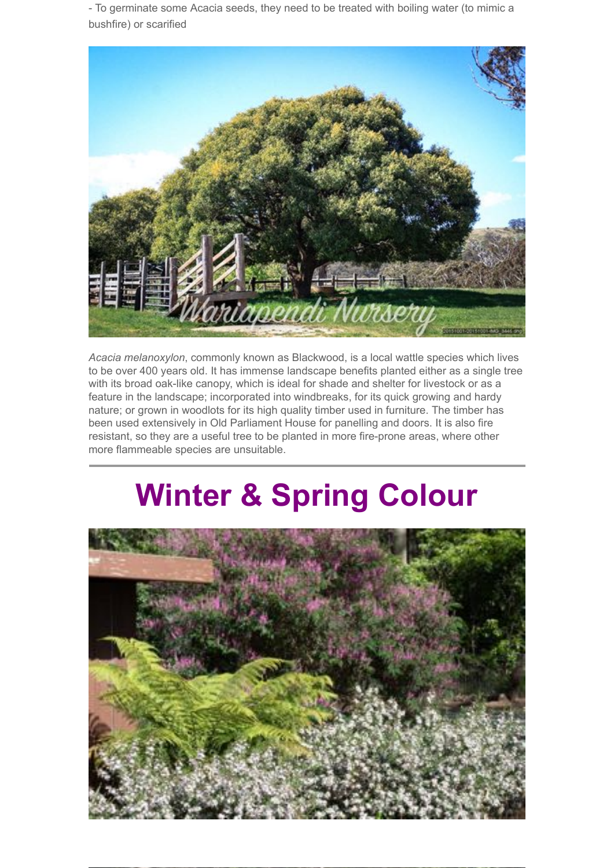- To germinate some Acacia seeds, they need to be treated with boiling water (to mimic a bushfire) or scarified



*Acacia melanoxylon*, commonly known as Blackwood, is a local wattle species which lives to be over 400 years old. It has immense landscape benefits planted either as a single tree with its broad oak-like canopy, which is ideal for shade and shelter for livestock or as a feature in the landscape; incorporated into windbreaks, for its quick growing and hardy nature; or grown in woodlots for its high quality timber used in furniture. The timber has been used extensively in Old Parliament House for panelling and doors. It is also fire resistant, so they are a useful tree to be planted in more fire-prone areas, where other more flammeable species are unsuitable.

## **Winter & Spring Colour**